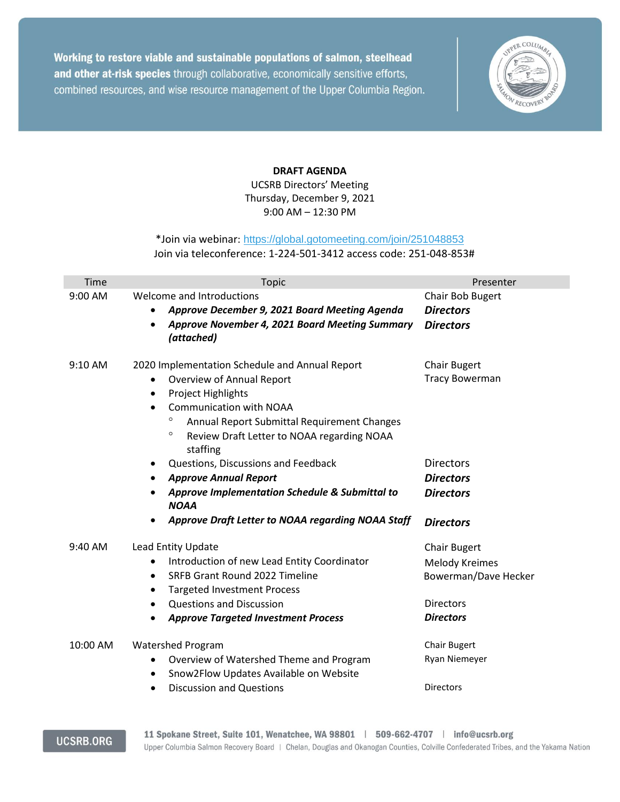Working to restore viable and sustainable populations of salmon, steelhead and other at-risk species through collaborative, economically sensitive efforts, combined resources, and wise resource management of the Upper Columbia Region.



## **DRAFT AGENDA**

UCSRB Directors' Meeting Thursday, December 9, 2021 9:00 AM – 12:30 PM

## \*Join via webinar: <https://global.gotomeeting.com/join/251048853> Join via teleconference: 1-224-501-3412 access code: 251-048-853#

| Time     | <b>Topic</b>                                                                                                                                                                                                                                                                                                     | Presenter                                                                                                    |
|----------|------------------------------------------------------------------------------------------------------------------------------------------------------------------------------------------------------------------------------------------------------------------------------------------------------------------|--------------------------------------------------------------------------------------------------------------|
| 9:00 AM  | Welcome and Introductions<br>Approve December 9, 2021 Board Meeting Agenda<br>$\bullet$<br>Approve November 4, 2021 Board Meeting Summary<br>(attached)                                                                                                                                                          | Chair Bob Bugert<br><b>Directors</b><br><b>Directors</b>                                                     |
| 9:10 AM  | 2020 Implementation Schedule and Annual Report<br>Overview of Annual Report<br>$\bullet$<br><b>Project Highlights</b><br>$\bullet$<br><b>Communication with NOAA</b><br>$\bullet$<br>$\circ$<br>Annual Report Submittal Requirement Changes<br>$\circ$<br>Review Draft Letter to NOAA regarding NOAA<br>staffing | <b>Chair Bugert</b><br><b>Tracy Bowerman</b>                                                                 |
|          | Questions, Discussions and Feedback<br>٠<br><b>Approve Annual Report</b><br>Approve Implementation Schedule & Submittal to<br><b>NOAA</b><br>Approve Draft Letter to NOAA regarding NOAA Staff                                                                                                                   | <b>Directors</b><br><b>Directors</b><br><b>Directors</b><br><b>Directors</b>                                 |
| 9:40 AM  | Lead Entity Update<br>Introduction of new Lead Entity Coordinator<br>$\bullet$<br>SRFB Grant Round 2022 Timeline<br>$\bullet$<br><b>Targeted Investment Process</b><br>$\bullet$<br><b>Questions and Discussion</b><br>$\bullet$<br><b>Approve Targeted Investment Process</b><br>$\bullet$                      | <b>Chair Bugert</b><br><b>Melody Kreimes</b><br>Bowerman/Dave Hecker<br><b>Directors</b><br><b>Directors</b> |
| 10:00 AM | <b>Watershed Program</b><br>Overview of Watershed Theme and Program<br>٠<br>Snow2Flow Updates Available on Website<br>$\bullet$<br><b>Discussion and Questions</b><br>٠                                                                                                                                          | <b>Chair Bugert</b><br>Ryan Niemeyer<br><b>Directors</b>                                                     |